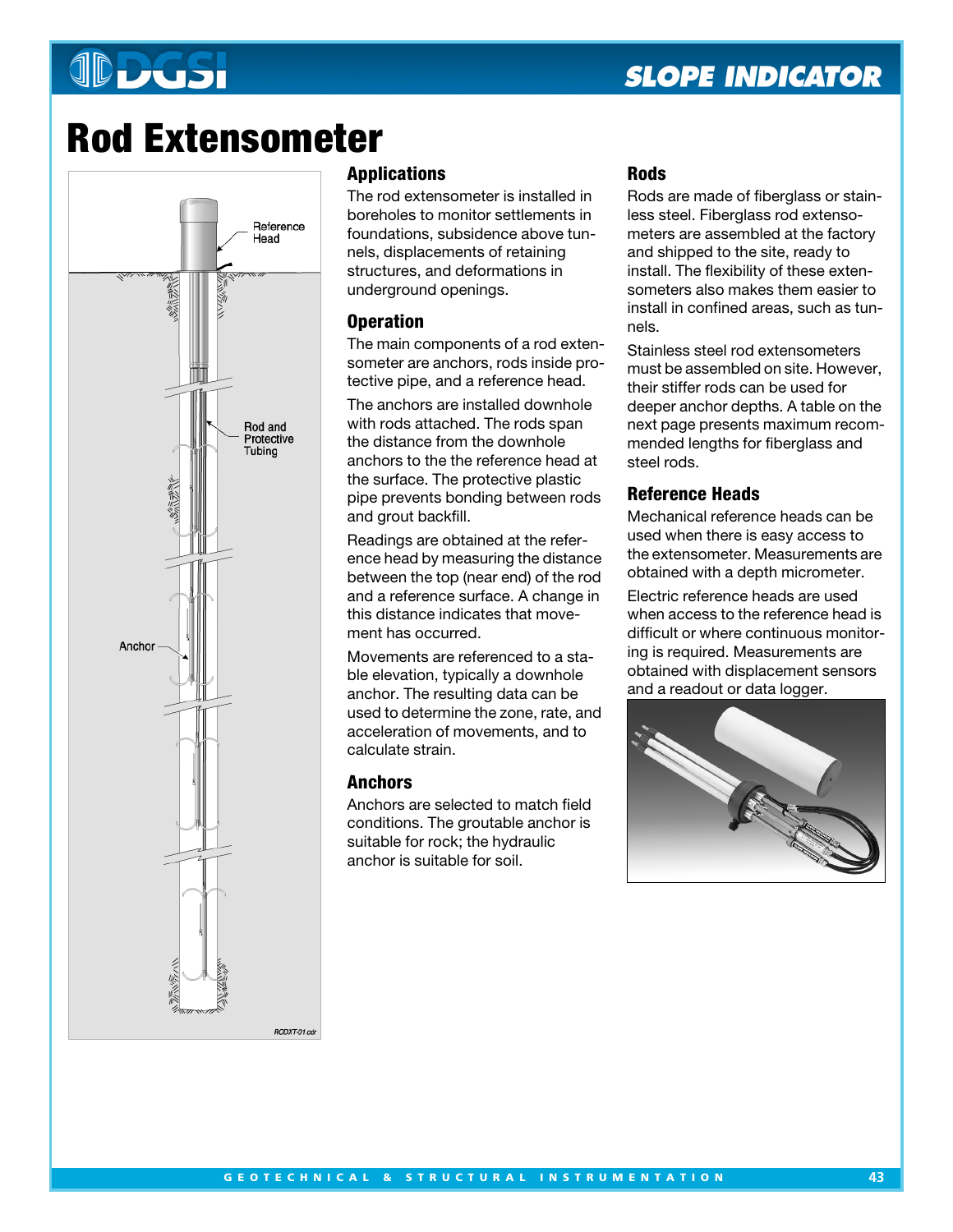# **JDDGSI**

# **Rod Extensometer**



# **Applications**

The rod extensometer is installed in boreholes to monitor settlements in foundations, subsidence above tunnels, displacements of retaining structures, and deformations in underground openings.

# **Operation**

The main components of a rod extensometer are anchors, rods inside protective pipe, and a reference head.

The anchors are installed downhole with rods attached. The rods span the distance from the downhole anchors to the the reference head at the surface. The protective plastic pipe prevents bonding between rods and grout backfill.

Readings are obtained at the reference head by measuring the distance between the top (near end) of the rod and a reference surface. A change in this distance indicates that movement has occurred.

Movements are referenced to a stable elevation, typically a downhole anchor. The resulting data can be used to determine the zone, rate, and acceleration of movements, and to calculate strain.

# **Anchors**

Anchors are selected to match field conditions. The groutable anchor is suitable for rock; the hydraulic anchor is suitable for soil.

## **Rods**

Rods are made of fiberglass or stainless steel. Fiberglass rod extensometers are assembled at the factory and shipped to the site, ready to install. The flexibility of these extensometers also makes them easier to install in confined areas, such as tunnels.

Stainless steel rod extensometers must be assembled on site. However, their stiffer rods can be used for deeper anchor depths. A table on the next page presents maximum recommended lengths for fiberglass and steel rods.

## **Reference Heads**

Mechanical reference heads can be used when there is easy access to the extensometer. Measurements are obtained with a depth micrometer.

Electric reference heads are used when access to the reference head is difficult or where continuous monitoring is required. Measurements are obtained with displacement sensors and a readout or data logger.